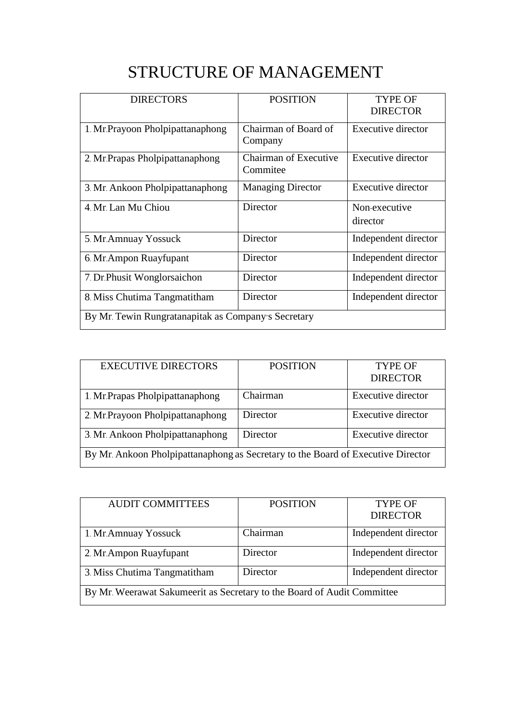## STRUCTURE OF MANAGEMENT

| <b>DIRECTORS</b>                                    | <b>POSITION</b>                          | <b>TYPE OF</b><br><b>DIRECTOR</b> |  |
|-----------------------------------------------------|------------------------------------------|-----------------------------------|--|
| 1. Mr.Prayoon Pholpipattanaphong                    | Chairman of Board of<br>Company          | Executive director                |  |
| 2. Mr.Prapas Pholpipattanaphong                     | <b>Chairman of Executive</b><br>Commitee | <b>Executive director</b>         |  |
| 3. Mr. Ankoon Pholpipattanaphong                    | <b>Managing Director</b>                 | Executive director                |  |
| 4. Mr. Lan Mu Chiou                                 | Director                                 | Non-executive<br>director         |  |
| 5. Mr. Amnuay Yossuck                               | Director                                 | Independent director              |  |
| 6. Mr. Ampon Ruayfupant                             | Director                                 | Independent director              |  |
| 7. Dr. Phusit Wonglorsaichon                        | Director                                 | Independent director              |  |
| 8. Miss Chutima Tangmatitham                        | Director                                 | Independent director              |  |
| By Mr. Tewin Rungratanapitak as Company's Secretary |                                          |                                   |  |

| <b>EXECUTIVE DIRECTORS</b>                                                       | <b>POSITION</b> | <b>TYPE OF</b><br><b>DIRECTOR</b> |
|----------------------------------------------------------------------------------|-----------------|-----------------------------------|
| 1. Mr. Prapas Pholpipattanaphong                                                 | Chairman        | <b>Executive director</b>         |
| 2. Mr. Prayoon Pholpipattanaphong                                                | Director        | <b>Executive director</b>         |
| 3. Mr. Ankoon Pholpipattanaphong                                                 | Director        | Executive director                |
| By Mr. Ankoon Pholpipattanaphong as Secretary to the Board of Executive Director |                 |                                   |

| <b>AUDIT COMMITTEES</b>                                                 | <b>POSITION</b> | <b>TYPE OF</b>       |
|-------------------------------------------------------------------------|-----------------|----------------------|
|                                                                         |                 | <b>DIRECTOR</b>      |
| 1. Mr. Amnuay Yossuck                                                   | Chairman        | Independent director |
| 2. Mr. Ampon Ruayfupant                                                 | Director        | Independent director |
| 3. Miss Chutima Tangmatitham                                            | Director        | Independent director |
| By Mr. Weerawat Sakumeerit as Secretary to the Board of Audit Committee |                 |                      |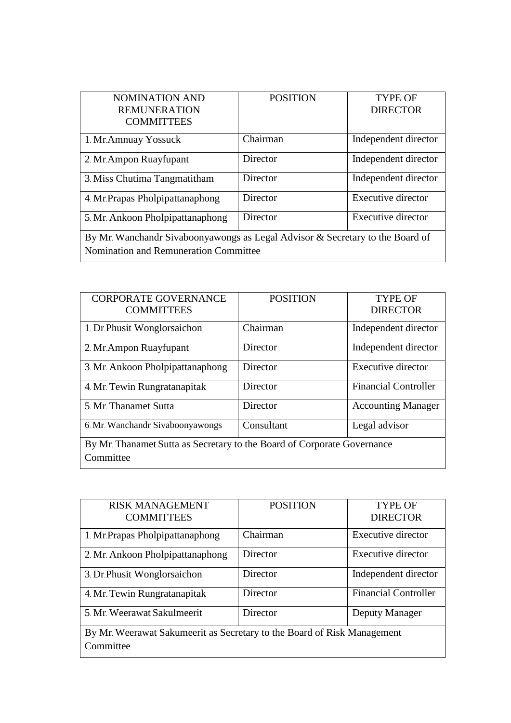| <b>NOMINATION AND</b>                                                         | <b>POSITION</b> | <b>TYPE OF</b>       |
|-------------------------------------------------------------------------------|-----------------|----------------------|
| <b>REMUNERATION</b>                                                           |                 | <b>DIRECTOR</b>      |
| <b>COMMITTEES</b>                                                             |                 |                      |
| 1. Mr. Amnuay Yossuck                                                         | Chairman        | Independent director |
| 2. Mr. Ampon Ruayfupant                                                       | Director        | Independent director |
| 3. Miss Chutima Tangmatitham                                                  | Director        | Independent director |
| 4. Mr. Prapas Pholpipattanaphong                                              | Director        | Executive director   |
| 5. Mr. Ankoon Pholpipattanaphong                                              | Director        | Executive director   |
| By Mr. Wanchandr Sivaboonyawongs as Legal Advisor & Secretary to the Board of |                 |                      |
| Nomination and Remuneration Committee                                         |                 |                      |

| <b>CORPORATE GOVERNANCE</b><br><b>COMMITTEES</b>                        | <b>POSITION</b> | <b>TYPE OF</b><br><b>DIRECTOR</b> |
|-------------------------------------------------------------------------|-----------------|-----------------------------------|
| 1. Dr. Phusit Wonglorsaichon                                            | Chairman        | Independent director              |
| 2. Mr. Ampon Ruayfupant                                                 | Director        | Independent director              |
| 3. Mr. Ankoon Pholpipattanaphong                                        | Director        | Executive director                |
| 4. Mr. Tewin Rungratanapitak                                            | Director        | <b>Financial Controller</b>       |
| 5. Mr. Thanamet Sutta                                                   | Director        | <b>Accounting Manager</b>         |
| 6. Mr. Wanchandr Sivaboonyawongs                                        | Consultant      | Legal advisor                     |
| By Mr. Thanamet Sutta as Secretary to the Board of Corporate Governance |                 |                                   |
| Committee                                                               |                 |                                   |

| <b>RISK MANAGEMENT</b><br><b>COMMITTEES</b>                                          | <b>POSITION</b> | <b>TYPE OF</b><br><b>DIRECTOR</b> |
|--------------------------------------------------------------------------------------|-----------------|-----------------------------------|
| 1. Mr.Prapas Pholpipattanaphong                                                      | Chairman        | Executive director                |
| 2. Mr. Ankoon Pholpipattanaphong                                                     | Director        | <b>Executive director</b>         |
| 3. Dr. Phusit Wonglorsaichon                                                         | Director        | Independent director              |
| 4. Mr. Tewin Rungratanapitak                                                         | Director        | <b>Financial Controller</b>       |
| 5. Mr. Weerawat Sakulmeerit                                                          | Director        | Deputy Manager                    |
| By Mr. Weerawat Sakumeerit as Secretary to the Board of Risk Management<br>Committee |                 |                                   |